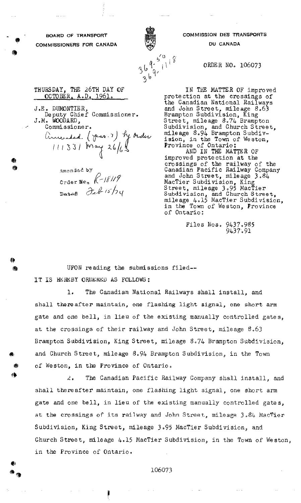BOARD OF TRANSPORT COMMISSIONERS FOR CANADA

a,'

A

@



COMMISSION DES TRANSPORTS DU CANADA

ORDER NO, 106073

THURSDAY, THX 26TH DAY QF <u>OCTOBER, A.D. 1961.</u>

J.E. DUMONTIER, Deputy Chief Commissioner. J.M. WOODARD,

,+ Commissioner. ameriked (Jav. 1) by order  $111331$  may  $26/62$ 

Amended by Crder Wo.  $6-18119$ Datas Feb 15/74

IN THE MATTER OF improved protection at the crossings of the Canadian National Railways and John Street, mileage 8.63 Brampton Subdivision, King Street, mileage 8.74 Brampton Subdivision, and Church Street, mileage 8,94 Brampton Subdivision, in the Town of Weston, Province of Ontario: AND IN THE MATTER OF improved protection at the crossings of the railway of the Canadian Pacific Railway Company and John Street, mileage 3a84 MacTier Subdivision, King Street, mileage 3.95 MacTier Subdivision, and Church Street, mileage 4.15 MacTier Subdivisi $\rm \dot c$ in the Town of Weston, Province of Ontario:

> Files Nos. 9437.985  $9437.91$

UPON reading the submissions filed--IT IS HEREBY ORDERED AS FOLLOWS:

1. The Canadian National Railways shall install, and shall thereafter maintain, one flashing light signal, one short arm gate and one bell, in lieu of the existing manually controlled gates, at the crossings of their railway and John Street, mileage  $8.63$ Brampton Subdivision, King Street, mileage 8.74 Brampton Subdivision, and Church Street, mileage 8.94 Brampton Subdivision, in the Town of Weston, in the Province of Ontario.

 $2.$  The Canadian Pacific Railway Company shall install, and shall thereafter maintain, one flashing light signal, one short arm gate and one bell, in Lieu of the existing manually controlled gates, at the crossings of its railway and John Street, mileage 3.84 MacTier Subdivision, King Street, miLeage 3.95 MacTier Subdivision, and Church Street, mileage 4.15 MacTier Subdivision, in the Town of Weston, in the Province of Ontario,

106073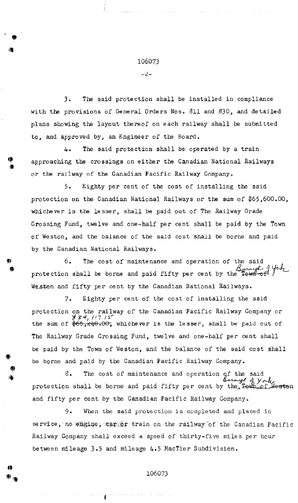## 106073

 $-2-$ 

3. The said protection shall be installed in compliance with the provisions of General Orders Nos, 811 and 830, and detailed plans showing the layout thereof on each railway shall be submitted to, and approved by, an Engineer of the Board.

4. The said protection shall be operated by a train approaching the crossings on either the Canadian National Railways or the railway of the Canadian Pacific Railway Company,

5. Eighty per cent of the cost of installing the said protection on the Canadian National Railways or the sum of \$65,600.00, whichever is the lesser, shall be paid out of The Railway Grade Crossing Fund, twelve and one-half per cent shall be paid by the Town of Weston, and the balance of the said cost shall be borne and paid by the Canadian National Railways.

6. The cost of maintenance and operation of the said protection shall be borne and paid fifty per cent by the Westen and fifty per cent by the Canadian National Railways.

7. Eighty per cent of the cost of installing the said protection on the railway of the Canadian Pacific Railway Company or  $\frac{\mathscr{U} S^2}{2}$ ,  $\frac{1}{17}$ ,  $15^{\circ}$ the sum of  $\frac{1}{2}66, \frac{1}{2}40.00$ , whichever is the lesser, shall be paid out of The Railway Grade Crossing Fund, twelve and one-half per cent shall be paid by the Town of Weston, and the balance of the said cost shall be borne and paid by the Canadian Pacific Railway Company.

 $\delta$ . The cost of maintenance and operation protection shall be borne and paid fifty per cent by the  $\pi_{\text{cell}}$  of Westen and fifty per cent by the Canadian Pacific Railway Company.

9. When the said protection is completed and placed in se rvice, no emgine,  $\exp(i\phi)$  train on the railway of the Canadian Pacific Railway Company shall exceed a speed of thirty-five miles per hour between mileage 3.5 and mileage 4.5 MacTier Subdivision,

106073

44

rb, Ita